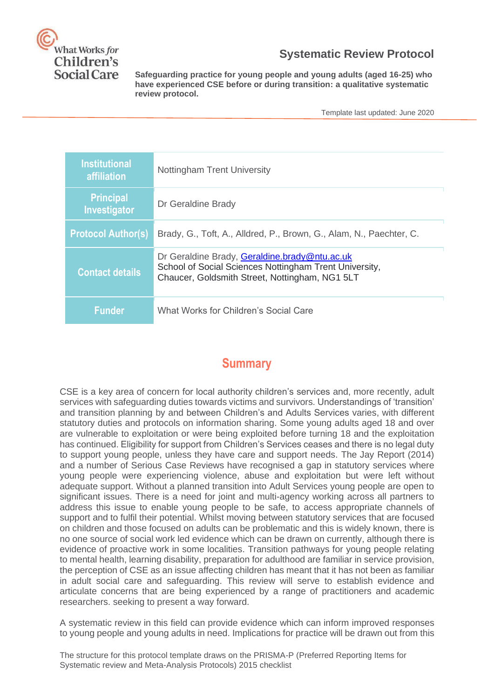

#### **Systematic Review Protocol**

**Safeguarding practice for young people and young adults (aged 16-25) who have experienced CSE before or during transition: a qualitative systematic review protocol.**

Template last updated: June 2020

| <b>Institutional</b><br>affiliation     | Nottingham Trent University                                                                                                                               |
|-----------------------------------------|-----------------------------------------------------------------------------------------------------------------------------------------------------------|
| <b>Principal</b><br><b>Investigator</b> | Dr Geraldine Brady                                                                                                                                        |
| <b>Protocol Author(s)</b>               | Brady, G., Toft, A., Alldred, P., Brown, G., Alam, N., Paechter, C.                                                                                       |
| <b>Contact details</b>                  | Dr Geraldine Brady, Geraldine.brady@ntu.ac.uk<br>School of Social Sciences Nottingham Trent University,<br>Chaucer, Goldsmith Street, Nottingham, NG1 5LT |
| <b>Funder</b>                           | What Works for Children's Social Care                                                                                                                     |

#### **Summary**

CSE is a key area of concern for local authority children's services and, more recently, adult services with safeguarding duties towards victims and survivors. Understandings of 'transition' and transition planning by and between Children's and Adults Services varies, with different statutory duties and protocols on information sharing. Some young adults aged 18 and over are vulnerable to exploitation or were being exploited before turning 18 and the exploitation has continued. Eligibility for support from Children's Services ceases and there is no legal duty to support young people, unless they have care and support needs. The Jay Report (2014) and a number of Serious Case Reviews have recognised a gap in statutory services where young people were experiencing violence, abuse and exploitation but were left without adequate support. Without a planned transition into Adult Services young people are open to significant issues. There is a need for joint and multi-agency working across all partners to address this issue to enable young people to be safe, to access appropriate channels of support and to fulfil their potential. Whilst moving between statutory services that are focused on children and those focused on adults can be problematic and this is widely known, there is no one source of social work led evidence which can be drawn on currently, although there is evidence of proactive work in some localities. Transition pathways for young people relating to mental health, learning disability, preparation for adulthood are familiar in service provision, the perception of CSE as an issue affecting children has meant that it has not been as familiar in adult social care and safeguarding. This review will serve to establish evidence and articulate concerns that are being experienced by a range of practitioners and academic researchers. seeking to present a way forward.

A systematic review in this field can provide evidence which can inform improved responses to young people and young adults in need. Implications for practice will be drawn out from this

The structure for this protocol template draws on the PRISMA-P (Preferred Reporting Items for Systematic review and Meta-Analysis Protocols) 2015 checklist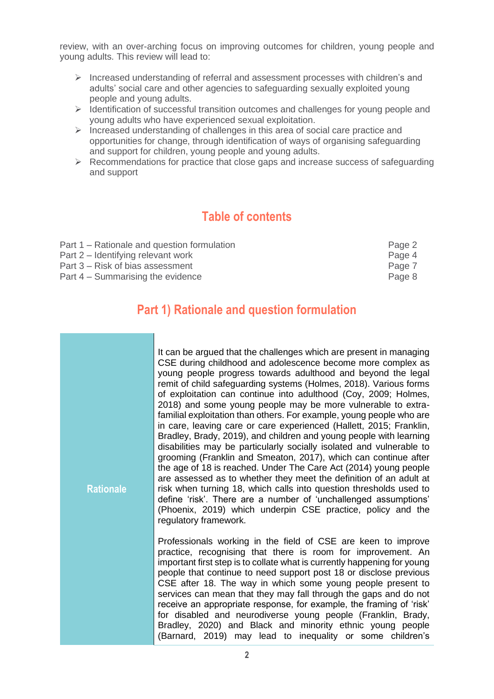review, with an over-arching focus on improving outcomes for children, young people and young adults. This review will lead to:

- ➢ Increased understanding of referral and assessment processes with children's and adults' social care and other agencies to safeguarding sexually exploited young people and young adults.
- ➢ Identification of successful transition outcomes and challenges for young people and young adults who have experienced sexual exploitation.
- ➢ Increased understanding of challenges in this area of social care practice and opportunities for change, through identification of ways of organising safeguarding and support for children, young people and young adults.
- ➢ Recommendations for practice that close gaps and increase success of safeguarding and support

#### **Table of contents**

| Part 1 – Rationale and question formulation | Page 2 |
|---------------------------------------------|--------|
| Part 2 – Identifying relevant work          | Page 4 |
| Part 3 – Risk of bias assessment            | Page 7 |
| Part 4 – Summarising the evidence           | Page 8 |

### **Part 1) Rationale and question formulation**

| <b>Rationale</b> | It can be argued that the challenges which are present in managing<br>CSE during childhood and adolescence become more complex as<br>young people progress towards adulthood and beyond the legal<br>remit of child safeguarding systems (Holmes, 2018). Various forms<br>of exploitation can continue into adulthood (Coy, 2009; Holmes,<br>2018) and some young people may be more vulnerable to extra-<br>familial exploitation than others. For example, young people who are<br>in care, leaving care or care experienced (Hallett, 2015; Franklin,<br>Bradley, Brady, 2019), and children and young people with learning<br>disabilities may be particularly socially isolated and vulnerable to<br>grooming (Franklin and Smeaton, 2017), which can continue after<br>the age of 18 is reached. Under The Care Act (2014) young people<br>are assessed as to whether they meet the definition of an adult at<br>risk when turning 18, which calls into question thresholds used to<br>define 'risk'. There are a number of 'unchallenged assumptions'<br>(Phoenix, 2019) which underpin CSE practice, policy and the |
|------------------|-----------------------------------------------------------------------------------------------------------------------------------------------------------------------------------------------------------------------------------------------------------------------------------------------------------------------------------------------------------------------------------------------------------------------------------------------------------------------------------------------------------------------------------------------------------------------------------------------------------------------------------------------------------------------------------------------------------------------------------------------------------------------------------------------------------------------------------------------------------------------------------------------------------------------------------------------------------------------------------------------------------------------------------------------------------------------------------------------------------------------------|
|                  | regulatory framework.<br>Professionals working in the field of CSE are keen to improve<br>practice, recognising that there is room for improvement. An<br>important first step is to collate what is currently happening for young<br>people that continue to need support post 18 or disclose previous<br>CSE after 18. The way in which some young people present to<br>services can mean that they may fall through the gaps and do not<br>receive an appropriate response, for example, the framing of 'risk'<br>for disabled and neurodiverse young people (Franklin, Brady,<br>Bradley, 2020) and Black and minority ethnic young people<br>(Barnard, 2019) may lead to inequality or some children's                                                                                                                                                                                                                                                                                                                                                                                                                 |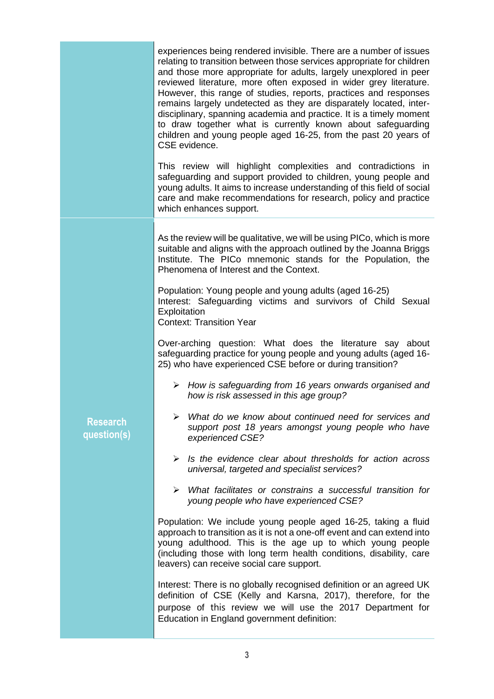experiences being rendered invisible. There are a number of issues relating to transition between those services appropriate for children and those more appropriate for adults, largely unexplored in peer reviewed literature, more often exposed in wider grey literature. However, this range of studies, reports, practices and responses remains largely undetected as they are disparately located, interdisciplinary, spanning academia and practice. It is a timely moment to draw together what is currently known about safeguarding children and young people aged 16-25, from the past 20 years of CSE evidence.

This review will highlight complexities and contradictions in safeguarding and support provided to children, young people and young adults. It aims to increase understanding of this field of social care and make recommendations for research, policy and practice which enhances support.

As the review will be qualitative, we will be using PICo, which is more suitable and aligns with the approach outlined by the Joanna Briggs Institute. The PICo mnemonic stands for the Population, the Phenomena of Interest and the Context.

Population: Young people and young adults (aged 16-25) Interest: Safeguarding victims and survivors of Child Sexual **Exploitation** 

Context: Transition Year

Over-arching question: What does the literature say about safeguarding practice for young people and young adults (aged 16- 25) who have experienced CSE before or during transition?

➢ *How is safeguarding from 16 years onwards organised and how is risk assessed in this age group?*

**Research question(s)**

- ➢ *What do we know about continued need for services and support post 18 years amongst young people who have experienced CSE?*
- ➢ *Is the evidence clear about thresholds for action across universal, targeted and specialist services?*
- ➢ *What facilitates or constrains a successful transition for young people who have experienced CSE?*

Population: We include young people aged 16-25, taking a fluid approach to transition as it is not a one-off event and can extend into young adulthood. This is the age up to which young people (including those with long term health conditions, disability, care leavers) can receive social care support.

Interest: There is no globally recognised definition or an agreed UK definition of CSE (Kelly and Karsna, 2017), therefore, for the purpose of this review we will use the 2017 Department for Education in England government definition: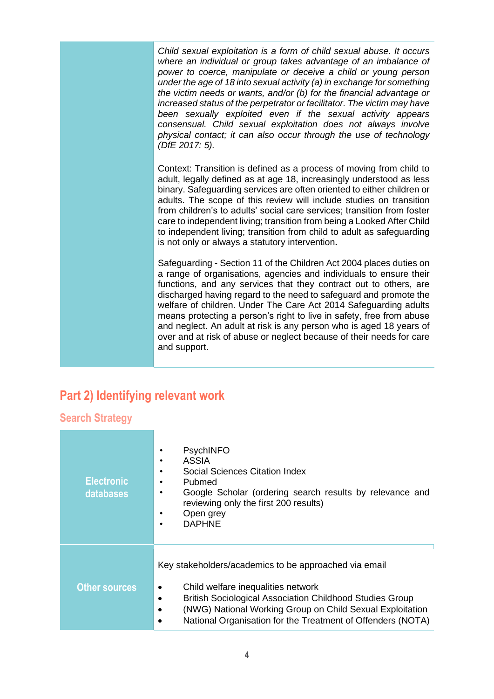*Child sexual exploitation is a form of child sexual abuse. It occurs where an individual or group takes advantage of an imbalance of power to coerce, manipulate or deceive a child or young person under the age of 18 into sexual activity (a) in exchange for something the victim needs or wants, and/or (b) for the financial advantage or increased status of the perpetrator or facilitator. The victim may have been sexually exploited even if the sexual activity appears consensual. Child sexual exploitation does not always involve physical contact; it can also occur through the use of technology (DfE 2017: 5).*

Context: Transition is defined as a process of moving from child to adult, legally defined as at age 18, increasingly understood as less binary. Safeguarding services are often oriented to either children or adults. The scope of this review will include studies on transition from children's to adults' social care services; transition from foster care to independent living; transition from being a Looked After Child to independent living; transition from child to adult as safeguarding is not only or always a statutory intervention**.**

Safeguarding - Section 11 of the Children Act 2004 places duties on a range of organisations, agencies and individuals to ensure their functions, and any services that they contract out to others, are discharged having regard to the need to safeguard and promote the welfare of children. Under The Care Act 2014 Safeguarding adults means protecting a person's right to live in safety, free from abuse and neglect. An adult at risk is any person who is aged 18 years of over and at risk of abuse or neglect because of their needs for care and support.

## **Part 2) Identifying relevant work**

**Search Strategy**

| <b>Electronic</b><br>databases | <b>PsychINFO</b><br><b>ASSIA</b><br>Social Sciences Citation Index<br>Pubmed<br>Google Scholar (ordering search results by relevance and<br>reviewing only the first 200 results)<br>Open grey<br><b>DAPHNE</b>                                                                                                |  |
|--------------------------------|----------------------------------------------------------------------------------------------------------------------------------------------------------------------------------------------------------------------------------------------------------------------------------------------------------------|--|
| <b>Other sources</b>           | Key stakeholders/academics to be approached via email<br>Child welfare inequalities network<br>٠<br><b>British Sociological Association Childhood Studies Group</b><br>٠<br>(NWG) National Working Group on Child Sexual Exploitation<br>٠<br>National Organisation for the Treatment of Offenders (NOTA)<br>٠ |  |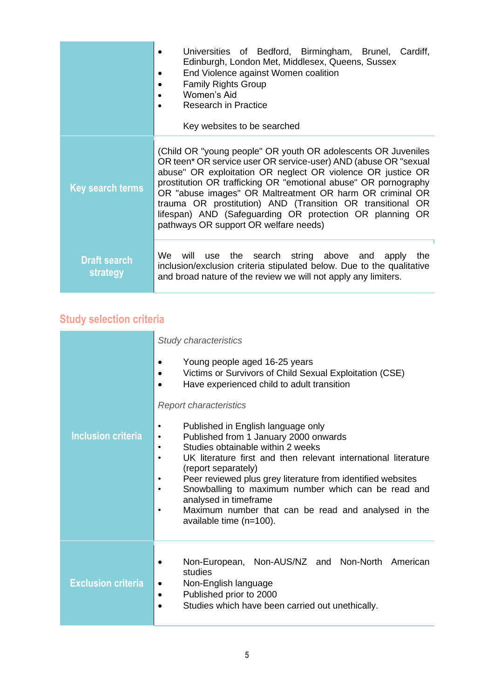|                                 | Universities of Bedford, Birmingham, Brunel, Cardiff,<br>Edinburgh, London Met, Middlesex, Queens, Sussex<br>End Violence against Women coalition<br><b>Family Rights Group</b><br>Women's Aid<br>Research in Practice<br>Key websites to be searched                                                                                                                                                                                                                                             |  |
|---------------------------------|---------------------------------------------------------------------------------------------------------------------------------------------------------------------------------------------------------------------------------------------------------------------------------------------------------------------------------------------------------------------------------------------------------------------------------------------------------------------------------------------------|--|
| <b>Key search terms</b>         | (Child OR "young people" OR youth OR adolescents OR Juveniles<br>OR teen* OR service user OR service-user) AND (abuse OR "sexual<br>abuse" OR exploitation OR neglect OR violence OR justice OR<br>prostitution OR trafficking OR "emotional abuse" OR pornography<br>OR "abuse images" OR Maltreatment OR harm OR criminal OR<br>trauma OR prostitution) AND (Transition OR transitional OR<br>lifespan) AND (Safeguarding OR protection OR planning OR<br>pathways OR support OR welfare needs) |  |
| <b>Draft search</b><br>strategy | will use the search string above and apply<br>We<br>the<br>inclusion/exclusion criteria stipulated below. Due to the qualitative<br>and broad nature of the review we will not apply any limiters.                                                                                                                                                                                                                                                                                                |  |

# **Study selection criteria**

|                           | <b>Study characteristics</b>                                                                                                                                                                                                                                                                                                                                                                                                                                                                                                             |  |  |
|---------------------------|------------------------------------------------------------------------------------------------------------------------------------------------------------------------------------------------------------------------------------------------------------------------------------------------------------------------------------------------------------------------------------------------------------------------------------------------------------------------------------------------------------------------------------------|--|--|
|                           | Young people aged 16-25 years<br>$\bullet$<br>Victims or Survivors of Child Sexual Exploitation (CSE)<br>$\bullet$<br>Have experienced child to adult transition                                                                                                                                                                                                                                                                                                                                                                         |  |  |
|                           | <b>Report characteristics</b>                                                                                                                                                                                                                                                                                                                                                                                                                                                                                                            |  |  |
| <b>Inclusion criteria</b> | Published in English language only<br>$\bullet$<br>Published from 1 January 2000 onwards<br>$\bullet$<br>Studies obtainable within 2 weeks<br>$\bullet$<br>UK literature first and then relevant international literature<br>$\bullet$<br>(report separately)<br>Peer reviewed plus grey literature from identified websites<br>$\bullet$<br>Snowballing to maximum number which can be read and<br>$\bullet$<br>analysed in timeframe<br>Maximum number that can be read and analysed in the<br>$\bullet$<br>available time $(n=100)$ . |  |  |
| <b>Exclusion criteria</b> | Non-European, Non-AUS/NZ and Non-North American<br>studies<br>Non-English language<br>٠<br>Published prior to 2000<br>٠<br>Studies which have been carried out unethically.                                                                                                                                                                                                                                                                                                                                                              |  |  |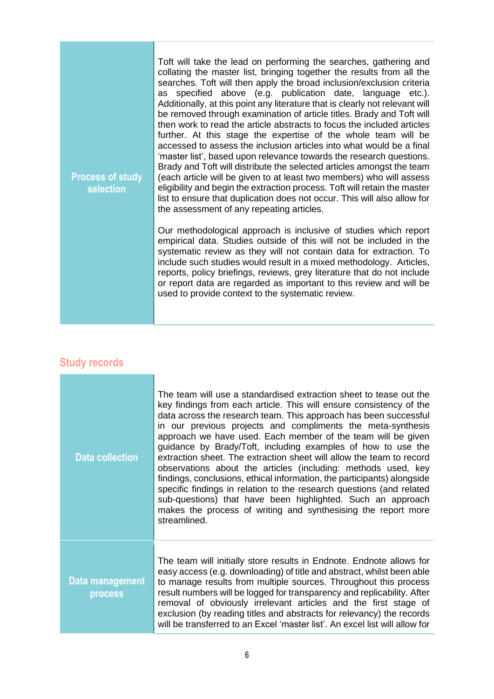| Toft will take the lead on performing the searches, gathering and<br>collating the master list, bringing together the results from all the<br>searches. Toft will then apply the broad inclusion/exclusion criteria<br>as specified above (e.g. publication date, language etc.).<br>Additionally, at this point any literature that is clearly not relevant will<br>be removed through examination of article titles. Brady and Toft will<br>then work to read the article abstracts to focus the included articles<br>further. At this stage the expertise of the whole team will be<br>accessed to assess the inclusion articles into what would be a final<br>'master list', based upon relevance towards the research questions.<br>Brady and Toft will distribute the selected articles amongst the team<br>(each article will be given to at least two members) who will assess<br>eligibility and begin the extraction process. Toft will retain the master<br>list to ensure that duplication does not occur. This will also allow for<br>the assessment of any repeating articles. |
|----------------------------------------------------------------------------------------------------------------------------------------------------------------------------------------------------------------------------------------------------------------------------------------------------------------------------------------------------------------------------------------------------------------------------------------------------------------------------------------------------------------------------------------------------------------------------------------------------------------------------------------------------------------------------------------------------------------------------------------------------------------------------------------------------------------------------------------------------------------------------------------------------------------------------------------------------------------------------------------------------------------------------------------------------------------------------------------------|
| Our methodological approach is inclusive of studies which report<br>empirical data. Studies outside of this will not be included in the<br>systematic review as they will not contain data for extraction. To<br>include such studies would result in a mixed methodology. Articles,<br>reports, policy briefings, reviews, grey literature that do not include<br>or report data are regarded as important to this review and will be<br>used to provide context to the systematic review.                                                                                                                                                                                                                                                                                                                                                                                                                                                                                                                                                                                                  |
|                                                                                                                                                                                                                                                                                                                                                                                                                                                                                                                                                                                                                                                                                                                                                                                                                                                                                                                                                                                                                                                                                              |

## **Study records**

|  | <b>Data collection</b>     | The team will use a standardised extraction sheet to tease out the<br>key findings from each article. This will ensure consistency of the<br>data across the research team. This approach has been successful<br>in our previous projects and compliments the meta-synthesis<br>approach we have used. Each member of the team will be given<br>guidance by Brady/Toft, including examples of how to use the<br>extraction sheet. The extraction sheet will allow the team to record<br>observations about the articles (including: methods used, key<br>findings, conclusions, ethical information, the participants) alongside<br>specific findings in relation to the research questions (and related<br>sub-questions) that have been highlighted. Such an approach<br>makes the process of writing and synthesising the report more<br>streamlined. |
|--|----------------------------|----------------------------------------------------------------------------------------------------------------------------------------------------------------------------------------------------------------------------------------------------------------------------------------------------------------------------------------------------------------------------------------------------------------------------------------------------------------------------------------------------------------------------------------------------------------------------------------------------------------------------------------------------------------------------------------------------------------------------------------------------------------------------------------------------------------------------------------------------------|
|  | Data management<br>process | The team will initially store results in Endnote. Endnote allows for<br>easy access (e.g. downloading) of title and abstract, whilst been able<br>to manage results from multiple sources. Throughout this process<br>result numbers will be logged for transparency and replicability. After<br>removal of obviously irrelevant articles and the first stage of<br>exclusion (by reading titles and abstracts for relevancy) the records<br>will be transferred to an Excel 'master list'. An excel list will allow for                                                                                                                                                                                                                                                                                                                                 |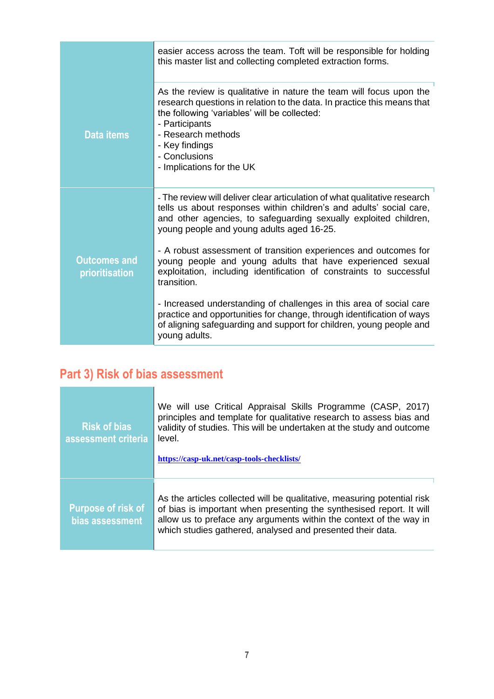|                                       | easier access across the team. Toft will be responsible for holding<br>this master list and collecting completed extraction forms.                                                                                                                                                                     |
|---------------------------------------|--------------------------------------------------------------------------------------------------------------------------------------------------------------------------------------------------------------------------------------------------------------------------------------------------------|
| <b>Data items</b>                     | As the review is qualitative in nature the team will focus upon the<br>research questions in relation to the data. In practice this means that<br>the following 'variables' will be collected:<br>- Participants<br>- Research methods<br>- Key findings<br>- Conclusions<br>- Implications for the UK |
| <b>Outcomes and</b><br>prioritisation | - The review will deliver clear articulation of what qualitative research<br>tells us about responses within children's and adults' social care,<br>and other agencies, to safeguarding sexually exploited children,<br>young people and young adults aged 16-25.                                      |
|                                       | - A robust assessment of transition experiences and outcomes for<br>young people and young adults that have experienced sexual<br>exploitation, including identification of constraints to successful<br>transition.                                                                                   |
|                                       | - Increased understanding of challenges in this area of social care<br>practice and opportunities for change, through identification of ways<br>of aligning safeguarding and support for children, young people and<br>young adults.                                                                   |

# **Part 3) Risk of bias assessment**

| <b>Risk of bias</b><br>assessment criteria   | We will use Critical Appraisal Skills Programme (CASP, 2017)<br>principles and template for qualitative research to assess bias and<br>validity of studies. This will be undertaken at the study and outcome<br>level.<br>https://casp-uk.net/casp-tools-checklists/                |
|----------------------------------------------|-------------------------------------------------------------------------------------------------------------------------------------------------------------------------------------------------------------------------------------------------------------------------------------|
| <b>Purpose of risk of</b><br>bias assessment | As the articles collected will be qualitative, measuring potential risk<br>of bias is important when presenting the synthesised report. It will<br>allow us to preface any arguments within the context of the way in<br>which studies gathered, analysed and presented their data. |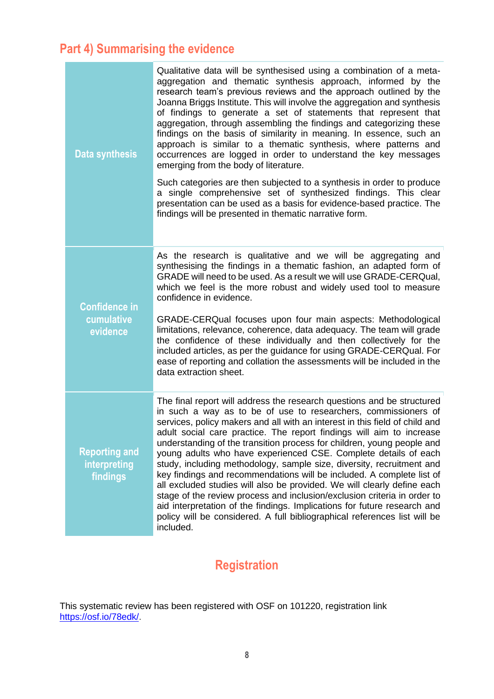## **Part 4) Summarising the evidence**

| <b>Data synthesis</b>                            | Qualitative data will be synthesised using a combination of a meta-<br>aggregation and thematic synthesis approach, informed by the<br>research team's previous reviews and the approach outlined by the<br>Joanna Briggs Institute. This will involve the aggregation and synthesis<br>of findings to generate a set of statements that represent that<br>aggregation, through assembling the findings and categorizing these<br>findings on the basis of similarity in meaning. In essence, such an<br>approach is similar to a thematic synthesis, where patterns and<br>occurrences are logged in order to understand the key messages<br>emerging from the body of literature.                                                                                                                                                                                                                                         |
|--------------------------------------------------|-----------------------------------------------------------------------------------------------------------------------------------------------------------------------------------------------------------------------------------------------------------------------------------------------------------------------------------------------------------------------------------------------------------------------------------------------------------------------------------------------------------------------------------------------------------------------------------------------------------------------------------------------------------------------------------------------------------------------------------------------------------------------------------------------------------------------------------------------------------------------------------------------------------------------------|
|                                                  | Such categories are then subjected to a synthesis in order to produce<br>a single comprehensive set of synthesized findings. This clear<br>presentation can be used as a basis for evidence-based practice. The<br>findings will be presented in thematic narrative form.                                                                                                                                                                                                                                                                                                                                                                                                                                                                                                                                                                                                                                                   |
| <b>Confidence in</b>                             | As the research is qualitative and we will be aggregating and<br>synthesising the findings in a thematic fashion, an adapted form of<br>GRADE will need to be used. As a result we will use GRADE-CERQual,<br>which we feel is the more robust and widely used tool to measure<br>confidence in evidence.                                                                                                                                                                                                                                                                                                                                                                                                                                                                                                                                                                                                                   |
| cumulative<br>evidence                           | GRADE-CERQual focuses upon four main aspects: Methodological<br>limitations, relevance, coherence, data adequacy. The team will grade<br>the confidence of these individually and then collectively for the<br>included articles, as per the guidance for using GRADE-CERQual. For<br>ease of reporting and collation the assessments will be included in the<br>data extraction sheet.                                                                                                                                                                                                                                                                                                                                                                                                                                                                                                                                     |
| <b>Reporting and</b><br>interpreting<br>findings | The final report will address the research questions and be structured<br>in such a way as to be of use to researchers, commissioners of<br>services, policy makers and all with an interest in this field of child and<br>adult social care practice. The report findings will aim to increase<br>understanding of the transition process for children, young people and<br>young adults who have experienced CSE. Complete details of each<br>study, including methodology, sample size, diversity, recruitment and<br>key findings and recommendations will be included. A complete list of<br>all excluded studies will also be provided. We will clearly define each<br>stage of the review process and inclusion/exclusion criteria in order to<br>aid interpretation of the findings. Implications for future research and<br>policy will be considered. A full bibliographical references list will be<br>included. |

## **Registration**

This systematic review has been registered with OSF on 101220, registration link [https://osf.io/78edk/.](https://osf.io/78edk/)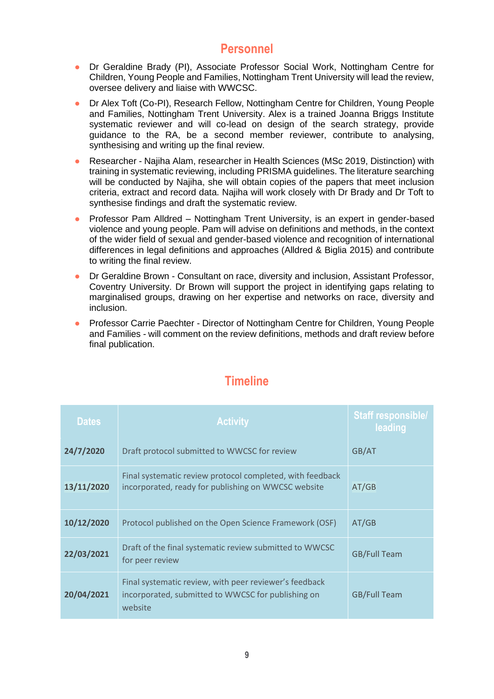#### **Personnel**

- Dr Geraldine Brady (PI), Associate Professor Social Work, Nottingham Centre for Children, Young People and Families, Nottingham Trent University will lead the review, oversee delivery and liaise with WWCSC.
- Dr Alex Toft (Co-PI), Research Fellow, Nottingham Centre for Children, Young People and Families, Nottingham Trent University. Alex is a trained Joanna Briggs Institute systematic reviewer and will co-lead on design of the search strategy, provide guidance to the RA, be a second member reviewer, contribute to analysing, synthesising and writing up the final review.
- Researcher Najiha Alam, researcher in Health Sciences (MSc 2019, Distinction) with training in systematic reviewing, including PRISMA guidelines. The literature searching will be conducted by Najiha, she will obtain copies of the papers that meet inclusion criteria, extract and record data. Najiha will work closely with Dr Brady and Dr Toft to synthesise findings and draft the systematic review.
- Professor Pam Alldred Nottingham Trent University, is an expert in gender-based violence and young people. Pam will advise on definitions and methods, in the context of the wider field of sexual and gender-based violence and recognition of international differences in legal definitions and approaches (Alldred & Biglia 2015) and contribute to writing the final review.
- Dr Geraldine Brown Consultant on race, diversity and inclusion, Assistant Professor, Coventry University. Dr Brown will support the project in identifying gaps relating to marginalised groups, drawing on her expertise and networks on race, diversity and inclusion.
- Professor Carrie Paechter Director of Nottingham Centre for Children, Young People and Families *-* will comment on the review definitions, methods and draft review before final publication.

| <b>Dates</b> | <b>Activity</b>                                                                                                         | <b>Staff responsible/</b><br>leading |
|--------------|-------------------------------------------------------------------------------------------------------------------------|--------------------------------------|
| 24/7/2020    | Draft protocol submitted to WWCSC for review                                                                            | GB/AT                                |
| 13/11/2020   | Final systematic review protocol completed, with feedback<br>incorporated, ready for publishing on WWCSC website        | AT/GB                                |
| 10/12/2020   | Protocol published on the Open Science Framework (OSF)                                                                  | AT/GB                                |
| 22/03/2021   | Draft of the final systematic review submitted to WWCSC<br>for peer review                                              | <b>GB/Full Team</b>                  |
| 20/04/2021   | Final systematic review, with peer reviewer's feedback<br>incorporated, submitted to WWCSC for publishing on<br>website | <b>GB/Full Team</b>                  |

### **Timeline**